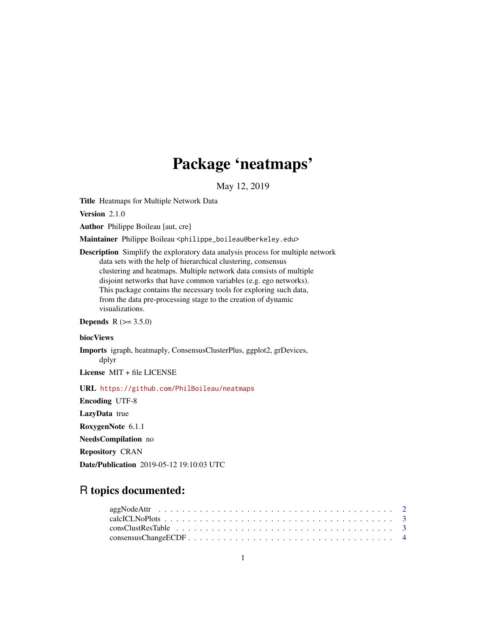# Package 'neatmaps'

May 12, 2019

<span id="page-0-0"></span>Title Heatmaps for Multiple Network Data

Version 2.1.0

Author Philippe Boileau [aut, cre]

Maintainer Philippe Boileau <philippe\_boileau@berkeley.edu>

Description Simplify the exploratory data analysis process for multiple network data sets with the help of hierarchical clustering, consensus clustering and heatmaps. Multiple network data consists of multiple disjoint networks that have common variables (e.g. ego networks). This package contains the necessary tools for exploring such data, from the data pre-processing stage to the creation of dynamic visualizations.

**Depends** R  $(>= 3.5.0)$ 

#### biocViews

Imports igraph, heatmaply, ConsensusClusterPlus, ggplot2, grDevices, dplyr

License MIT + file LICENSE

URL <https://github.com/PhilBoileau/neatmaps>

Encoding UTF-8 LazyData true RoxygenNote 6.1.1 NeedsCompilation no Repository CRAN Date/Publication 2019-05-12 19:10:03 UTC

# R topics documented: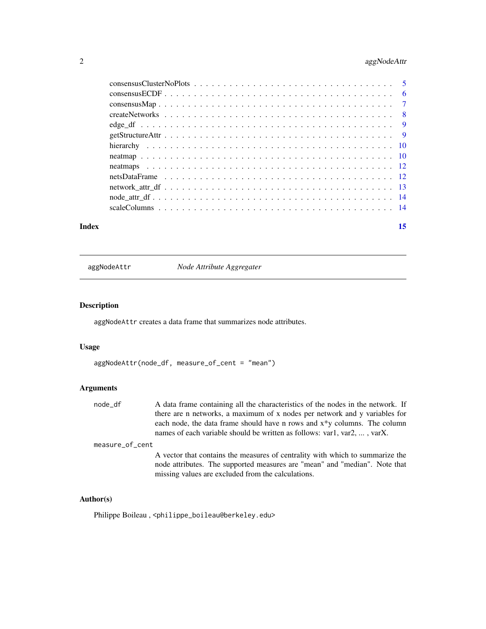# <span id="page-1-0"></span>2 aggNodeAttr

| Index | 15 |
|-------|----|
|       |    |
|       |    |
|       |    |
|       |    |
|       |    |
|       |    |
|       |    |
|       |    |
|       |    |
|       |    |
|       |    |
|       |    |
|       |    |

aggNodeAttr *Node Attribute Aggregater*

# Description

aggNodeAttr creates a data frame that summarizes node attributes.

## Usage

```
aggNodeAttr(node_df, measure_of_cent = "mean")
```
# Arguments

node\_df A data frame containing all the characteristics of the nodes in the network. If there are n networks, a maximum of x nodes per network and y variables for each node, the data frame should have n rows and x\*y columns. The column names of each variable should be written as follows: var1, var2, ... , varX.

measure\_of\_cent

A vector that contains the measures of centrality with which to summarize the node attributes. The supported measures are "mean" and "median". Note that missing values are excluded from the calculations.

### Author(s)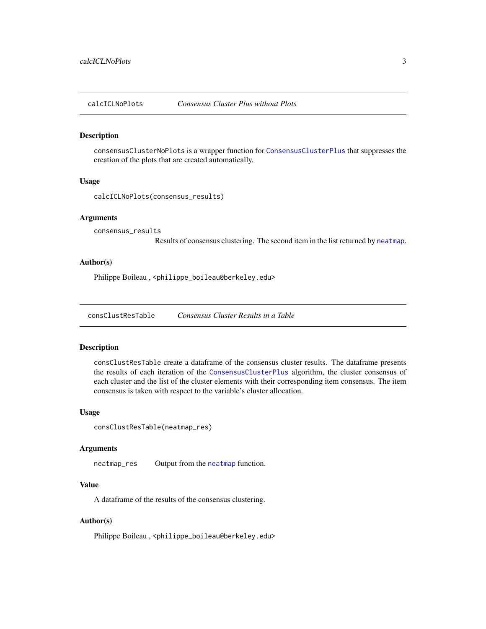<span id="page-2-0"></span>

#### Description

consensusClusterNoPlots is a wrapper function for [ConsensusClusterPlus](#page-0-0) that suppresses the creation of the plots that are created automatically.

#### Usage

calcICLNoPlots(consensus\_results)

#### Arguments

consensus\_results

Results of consensus clustering. The second item in the list returned by [neatmap](#page-9-1).

# Author(s)

Philippe Boileau, <philippe\_boileau@berkeley.edu>

<span id="page-2-1"></span>consClustResTable *Consensus Cluster Results in a Table*

#### **Description**

consClustResTable create a dataframe of the consensus cluster results. The dataframe presents the results of each iteration of the [ConsensusClusterPlus](#page-0-0) algorithm, the cluster consensus of each cluster and the list of the cluster elements with their corresponding item consensus. The item consensus is taken with respect to the variable's cluster allocation.

#### Usage

```
consClustResTable(neatmap_res)
```
#### Arguments

neatmap\_res Output from the [neatmap](#page-9-1) function.

# Value

A dataframe of the results of the consensus clustering.

#### Author(s)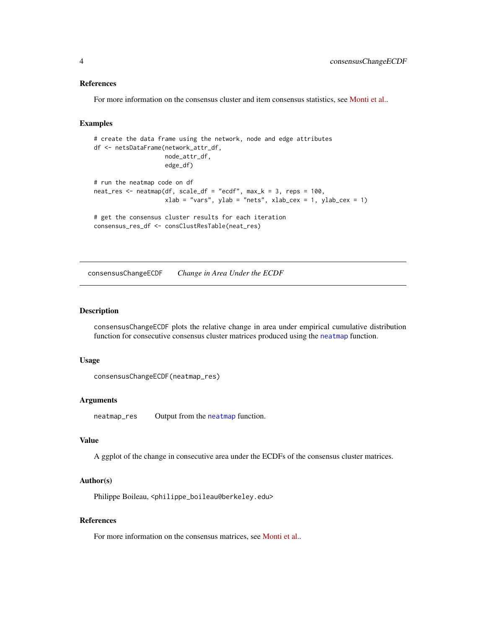#### References

For more information on the consensus cluster and item consensus statistics, see [Monti et al..](https://link.springer.com/article/10.1023%2FA%3A1023949509487)

#### Examples

```
# create the data frame using the network, node and edge attributes
df <- netsDataFrame(network_attr_df,
                    node_attr_df,
                    edge_df)
# run the neatmap code on df
neat_res <- neatmap(df, scale_df = "ecdf", max_k = 3, reps = 100,
                    xlab = "vars", ylab = "nets", xlab_cex = 1, ylab_cex = 1)# get the consensus cluster results for each iteration
consensus_res_df <- consClustResTable(neat_res)
```
<span id="page-3-1"></span>consensusChangeECDF *Change in Area Under the ECDF*

# Description

consensusChangeECDF plots the relative change in area under empirical cumulative distribution function for consecutive consensus cluster matrices produced using the [neatmap](#page-9-1) function.

#### Usage

```
consensusChangeECDF(neatmap_res)
```
#### Arguments

neatmap\_res Output from the [neatmap](#page-9-1) function.

# Value

A ggplot of the change in consecutive area under the ECDFs of the consensus cluster matrices.

# Author(s)

Philippe Boileau, <philippe\_boileau@berkeley.edu>

# References

For more information on the consensus matrices, see [Monti et al..](https://link.springer.com/article/10.1023%2FA%3A1023949509487)

<span id="page-3-0"></span>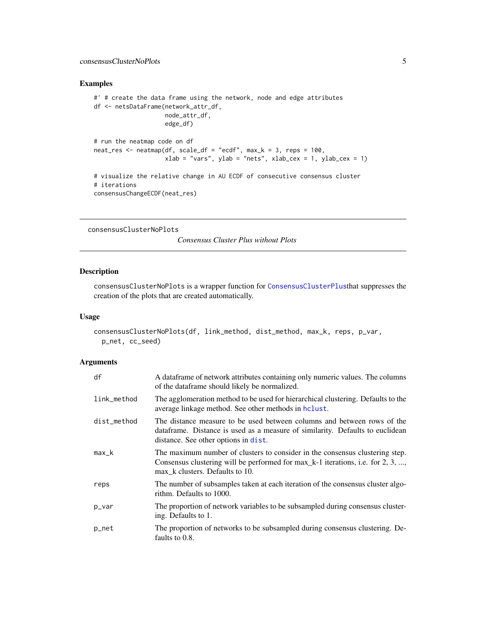# <span id="page-4-0"></span>Examples

```
#' # create the data frame using the network, node and edge attributes
df <- netsDataFrame(network_attr_df,
                    node_attr_df,
                    edge_df)
# run the neatmap code on df
neat_res <- neatmap(df, scale_df = "ecdf", max_k = 3, reps = 100,
                    xlab = "vars", ylab = "nets", xlab_cex = 1, ylab_cex = 1)
# visualize the relative change in AU ECDF of consecutive consensus cluster
# iterations
consensusChangeECDF(neat_res)
```
consensusClusterNoPlots

*Consensus Cluster Plus without Plots*

# Description

consensusClusterNoPlots is a wrapper function for [ConsensusClusterPlus](#page-0-0)that suppresses the creation of the plots that are created automatically.

#### Usage

```
consensusClusterNoPlots(df, link_method, dist_method, max_k, reps, p_var,
 p_net, cc_seed)
```
### Arguments

| df          | A dataframe of network attributes containing only numeric values. The columns<br>of the dataframe should likely be normalized.                                                                     |
|-------------|----------------------------------------------------------------------------------------------------------------------------------------------------------------------------------------------------|
| link_method | The agglomeration method to be used for hierarchical clustering. Defaults to the<br>average linkage method. See other methods in holust.                                                           |
| dist_method | The distance measure to be used between columns and between rows of the<br>data frame. Distance is used as a measure of similarity. Defaults to euclidean<br>distance. See other options in dist.  |
| $max_k$     | The maximum number of clusters to consider in the consensus clustering step.<br>Consensus clustering will be performed for max_k-1 iterations, i.e. for 2, 3, ,<br>max k clusters. Defaults to 10. |
| reps        | The number of subsamples taken at each iteration of the consensus cluster algo-<br>rithm. Defaults to 1000.                                                                                        |
| p_var       | The proportion of network variables to be subsampled during consensus cluster-<br>ing. Defaults to 1.                                                                                              |
| p_net       | The proportion of networks to be subsampled during consensus clustering. De-<br>faults to 0.8.                                                                                                     |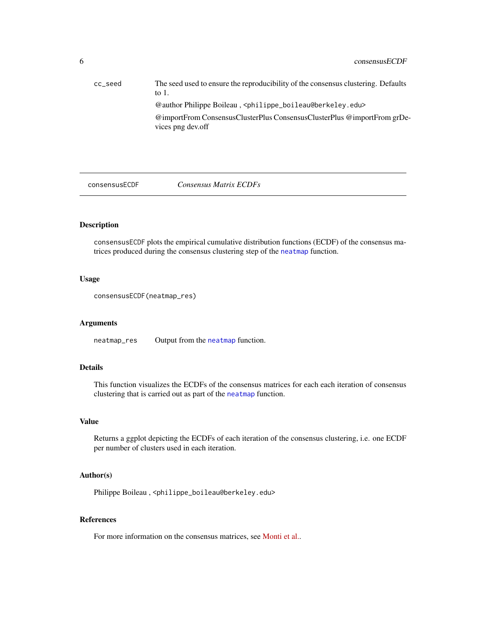<span id="page-5-0"></span>

| cc_seed | The seed used to ensure the reproducibility of the consensus clustering. Defaults<br>to $1$ . |
|---------|-----------------------------------------------------------------------------------------------|
|         | @author Philippe Boileau, <philippe_boileau@berkeley.edu></philippe_boileau@berkeley.edu>     |
|         | @importFrom ConsensusClusterPlus ConsensusClusterPlus @importFrom grDe-<br>vices png dev.off  |

<span id="page-5-1"></span>consensusECDF *Consensus Matrix ECDFs*

# Description

consensusECDF plots the empirical cumulative distribution functions (ECDF) of the consensus matrices produced during the consensus clustering step of the [neatmap](#page-9-1) function.

#### Usage

```
consensusECDF(neatmap_res)
```
# Arguments

neatmap\_res Output from the [neatmap](#page-9-1) function.

# Details

This function visualizes the ECDFs of the consensus matrices for each each iteration of consensus clustering that is carried out as part of the [neatmap](#page-9-1) function.

#### Value

Returns a ggplot depicting the ECDFs of each iteration of the consensus clustering, i.e. one ECDF per number of clusters used in each iteration.

# Author(s)

Philippe Boileau, <philippe\_boileau@berkeley.edu>

# References

For more information on the consensus matrices, see [Monti et al..](https://link.springer.com/article/10.1023%2FA%3A1023949509487)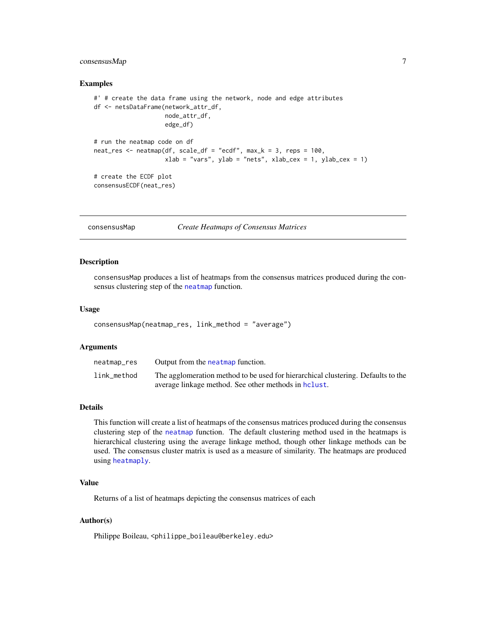# <span id="page-6-0"></span> $\alpha$ consensusMap 7

#### Examples

```
#' # create the data frame using the network, node and edge attributes
df <- netsDataFrame(network_attr_df,
                    node_attr_df,
                    edge_df)
# run the neatmap code on df
neat_res <- neatmap(df, scale_df = "ecdf", max_k = 3, reps = 100,
                    xlab = "vars", ylab = "nets", xlab_cex = 1, ylab_cex = 1)# create the ECDF plot
consensusECDF(neat_res)
```
consensusMap *Create Heatmaps of Consensus Matrices*

#### Description

consensusMap produces a list of heatmaps from the consensus matrices produced during the consensus clustering step of the [neatmap](#page-9-1) function.

#### Usage

```
consensusMap(neatmap_res, link_method = "average")
```
#### Arguments

| neatmap_res | Output from the neatmap function.                                                |
|-------------|----------------------------------------------------------------------------------|
| link_method | The agglomeration method to be used for hierarchical clustering. Defaults to the |
|             | average linkage method. See other methods in holast.                             |

#### Details

This function will create a list of heatmaps of the consensus matrices produced during the consensus clustering step of the [neatmap](#page-9-1) function. The default clustering method used in the heatmaps is hierarchical clustering using the average linkage method, though other linkage methods can be used. The consensus cluster matrix is used as a measure of similarity. The heatmaps are produced using [heatmaply](#page-0-0).

#### Value

Returns of a list of heatmaps depicting the consensus matrices of each

#### Author(s)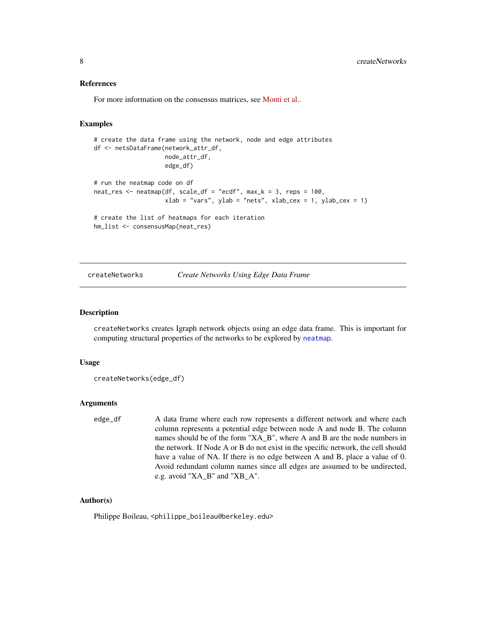#### <span id="page-7-0"></span>References

For more information on the consensus matrices, see [Monti et al..](https://link.springer.com/article/10.1023%2FA%3A1023949509487)

#### Examples

```
# create the data frame using the network, node and edge attributes
df <- netsDataFrame(network_attr_df,
                   node_attr_df,
                    edge_df)
# run the neatmap code on df
neat_res <- neatmap(df, scale_df = "ecdf", max_k = 3, reps = 100,
                    xlab = "vars", ylab = "nets", xlab_cex = 1, ylab_cex = 1)# create the list of heatmaps for each iteration
hm_list <- consensusMap(neat_res)
```
createNetworks *Create Networks Using Edge Data Frame*

#### Description

createNetworks creates Igraph network objects using an edge data frame. This is important for computing structural properties of the networks to be explored by [neatmap](#page-9-1).

#### Usage

```
createNetworks(edge_df)
```
#### Arguments

edge\_df A data frame where each row represents a different network and where each column represents a potential edge between node A and node B. The column names should be of the form "XA\_B", where A and B are the node numbers in the network. If Node A or B do not exist in the specific network, the cell should have a value of NA. If there is no edge between A and B, place a value of 0. Avoid redundant column names since all edges are assumed to be undirected, e.g. avoid "XA\_B" and "XB\_A".

#### Author(s)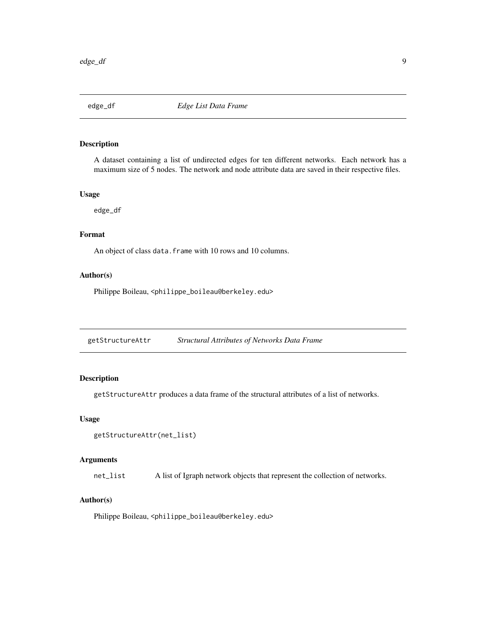<span id="page-8-0"></span>

# Description

A dataset containing a list of undirected edges for ten different networks. Each network has a maximum size of 5 nodes. The network and node attribute data are saved in their respective files.

#### Usage

edge\_df

#### Format

An object of class data. frame with 10 rows and 10 columns.

# Author(s)

Philippe Boileau, <philippe\_boileau@berkeley.edu>

getStructureAttr *Structural Attributes of Networks Data Frame*

# Description

getStructureAttr produces a data frame of the structural attributes of a list of networks.

#### Usage

```
getStructureAttr(net_list)
```
# Arguments

net\_list A list of Igraph network objects that represent the collection of networks.

# Author(s)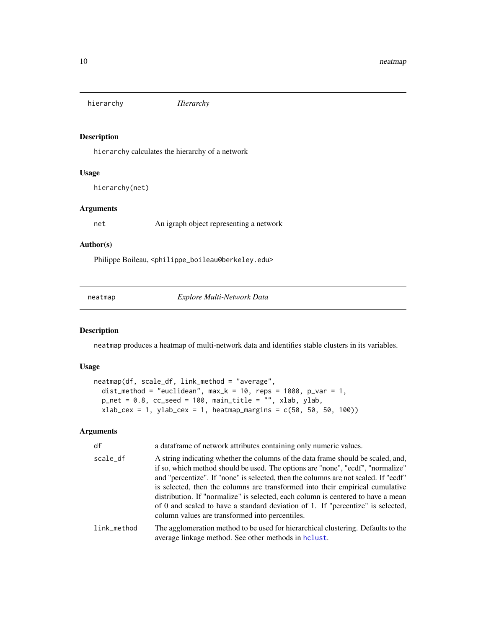<span id="page-9-0"></span>hierarchy *Hierarchy*

# Description

hierarchy calculates the hierarchy of a network

# Usage

hierarchy(net)

# Arguments

net An igraph object representing a network

# Author(s)

Philippe Boileau, <philippe\_boileau@berkeley.edu>

<span id="page-9-1"></span>neatmap *Explore Multi-Network Data*

# Description

neatmap produces a heatmap of multi-network data and identifies stable clusters in its variables.

# Usage

```
neatmap(df, scale_df, link_method = "average",
  dist_method = "euclidean", max_k = 10, reps = 1000, p_var = 1,
  p_{net} = 0.8, cc_{seed} = 100, main_{title} = "", xlab, ylab,xlab_cex = 1, ylab_cex = 1, heatmap_margins = c(50, 50, 50, 100))
```
### Arguments

| df          | a dataframe of network attributes containing only numeric values.                                                                                                                                                                                                                                                                                                                                                                                                                                                                                                     |
|-------------|-----------------------------------------------------------------------------------------------------------------------------------------------------------------------------------------------------------------------------------------------------------------------------------------------------------------------------------------------------------------------------------------------------------------------------------------------------------------------------------------------------------------------------------------------------------------------|
| scale_df    | A string indicating whether the columns of the data frame should be scaled, and,<br>if so, which method should be used. The options are "none", "ecdf", "normalize"<br>and "percentize". If "none" is selected, then the columns are not scaled. If "ecdf"<br>is selected, then the columns are transformed into their empirical cumulative<br>distribution. If "normalize" is selected, each column is centered to have a mean<br>of 0 and scaled to have a standard deviation of 1. If "percentize" is selected,<br>column values are transformed into percentiles. |
| link_method | The agglomeration method to be used for hierarchical clustering. Defaults to the<br>average linkage method. See other methods in holast.                                                                                                                                                                                                                                                                                                                                                                                                                              |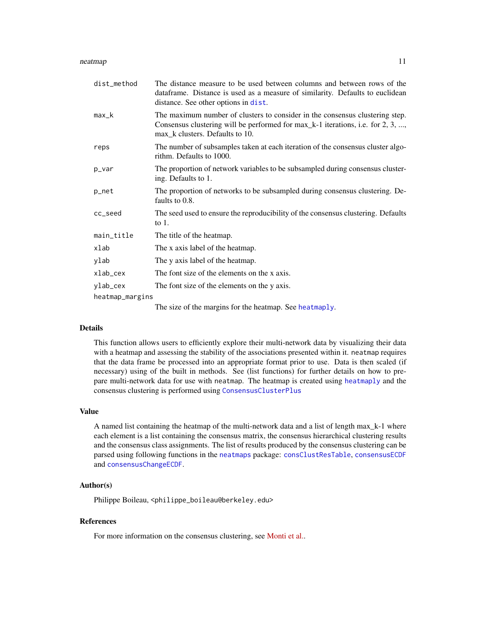#### <span id="page-10-0"></span>neatmap and the state of the state of the state of the state of the state of the state of the state of the state of the state of the state of the state of the state of the state of the state of the state of the state of th

| dist_method     | The distance measure to be used between columns and between rows of the<br>dataframe. Distance is used as a measure of similarity. Defaults to euclidean<br>distance. See other options in dist.   |
|-----------------|----------------------------------------------------------------------------------------------------------------------------------------------------------------------------------------------------|
| max_k           | The maximum number of clusters to consider in the consensus clustering step.<br>Consensus clustering will be performed for max_k-1 iterations, i.e. for 2, 3, ,<br>max_k clusters. Defaults to 10. |
| reps            | The number of subsamples taken at each iteration of the consensus cluster algo-<br>rithm. Defaults to 1000.                                                                                        |
| p_var           | The proportion of network variables to be subsampled during consensus cluster-<br>ing. Defaults to 1.                                                                                              |
| p_net           | The proportion of networks to be subsampled during consensus clustering. De-<br>faults to 0.8.                                                                                                     |
| cc_seed         | The seed used to ensure the reproducibility of the consensus clustering. Defaults<br>to $1$ .                                                                                                      |
| main_title      | The title of the heatmap.                                                                                                                                                                          |
| xlab            | The x axis label of the heatmap.                                                                                                                                                                   |
| ylab            | The y axis label of the heatmap.                                                                                                                                                                   |
| xlab_cex        | The font size of the elements on the x axis.                                                                                                                                                       |
| ylab_cex        | The font size of the elements on the y axis.                                                                                                                                                       |
| heatmap_margins |                                                                                                                                                                                                    |
|                 |                                                                                                                                                                                                    |

The size of the margins for the heatmap. See [heatmaply](#page-0-0).

#### Details

This function allows users to efficiently explore their multi-network data by visualizing their data with a heatmap and assessing the stability of the associations presented within it. neatmap requires that the data frame be processed into an appropriate format prior to use. Data is then scaled (if necessary) using of the built in methods. See (list functions) for further details on how to prepare multi-network data for use with neatmap. The heatmap is created using [heatmaply](#page-0-0) and the consensus clustering is performed using [ConsensusClusterPlus](#page-0-0)

# Value

A named list containing the heatmap of the multi-network data and a list of length max\_k-1 where each element is a list containing the consensus matrix, the consensus hierarchical clustering results and the consensus class assignments. The list of results produced by the consensus clustering can be parsed using following functions in the [neatmaps](#page-11-1) package: [consClustResTable](#page-2-1), [consensusECDF](#page-5-1) and [consensusChangeECDF](#page-3-1).

# Author(s)

Philippe Boileau, <philippe\_boileau@berkeley.edu>

### References

For more information on the consensus clustering, see [Monti et al..](https://link.springer.com/article/10.1023%2FA%3A1023949509487)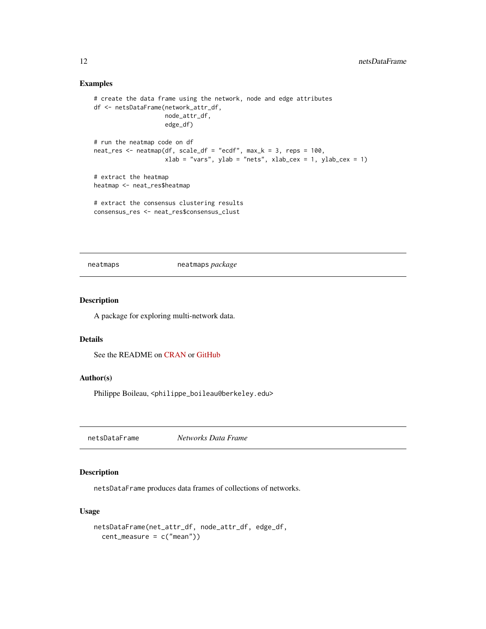# Examples

```
# create the data frame using the network, node and edge attributes
df <- netsDataFrame(network_attr_df,
                    node_attr_df,
                    edge_df)
# run the neatmap code on df
neat_res <- neatmap(df, scale_df = "ecdf", max_k = 3, reps = 100,
                    xlab = "vars", ylab = "nets", xlab_cex = 1, ylab_cex = 1)# extract the heatmap
heatmap <- neat_res$heatmap
# extract the consensus clustering results
consensus_res <- neat_res$consensus_clust
```
<span id="page-11-1"></span>neatmaps neatmaps *package*

# Description

A package for exploring multi-network data.

#### Details

See the README on [CRAN](https://CRAN.R-project.org/package=neatmaps) or [GitHub](https://github.com/PhilBoileau/neatmaps/tree/master)

# Author(s)

Philippe Boileau, <philippe\_boileau@berkeley.edu>

netsDataFrame *Networks Data Frame*

# Description

netsDataFrame produces data frames of collections of networks.

# Usage

```
netsDataFrame(net_attr_df, node_attr_df, edge_df,
  cent_measure = c("mean"))
```
<span id="page-11-0"></span>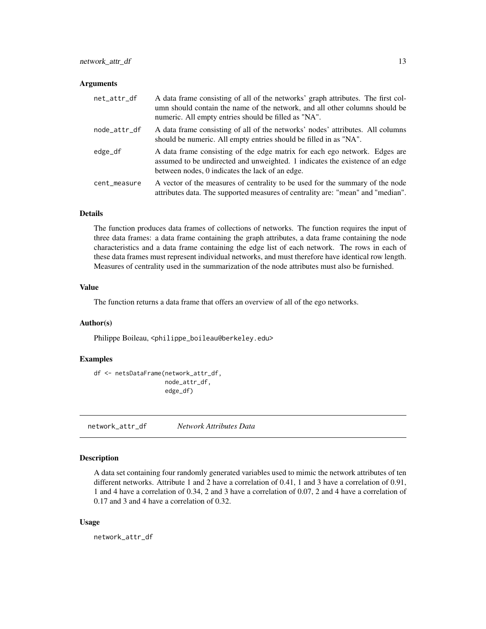#### <span id="page-12-0"></span>**Arguments**

| net_attr_df  | A data frame consisting of all of the networks' graph attributes. The first col-<br>umn should contain the name of the network, and all other columns should be<br>numeric. All empty entries should be filled as "NA". |
|--------------|-------------------------------------------------------------------------------------------------------------------------------------------------------------------------------------------------------------------------|
| node_attr_df | A data frame consisting of all of the networks' nodes' attributes. All columns<br>should be numeric. All empty entries should be filled in as "NA".                                                                     |
| edge_df      | A data frame consisting of the edge matrix for each ego network. Edges are<br>assumed to be undirected and unweighted. 1 indicates the existence of an edge<br>between nodes, 0 indicates the lack of an edge.          |
| cent_measure | A vector of the measures of centrality to be used for the summary of the node<br>attributes data. The supported measures of centrality are: "mean" and "median".                                                        |

# Details

The function produces data frames of collections of networks. The function requires the input of three data frames: a data frame containing the graph attributes, a data frame containing the node characteristics and a data frame containing the edge list of each network. The rows in each of these data frames must represent individual networks, and must therefore have identical row length. Measures of centrality used in the summarization of the node attributes must also be furnished.

# Value

The function returns a data frame that offers an overview of all of the ego networks.

# Author(s)

Philippe Boileau, <philippe\_boileau@berkeley.edu>

# Examples

```
df <- netsDataFrame(network_attr_df,
                    node_attr_df,
                    edge_df)
```
network\_attr\_df *Network Attributes Data*

# Description

A data set containing four randomly generated variables used to mimic the network attributes of ten different networks. Attribute 1 and 2 have a correlation of 0.41, 1 and 3 have a correlation of 0.91, 1 and 4 have a correlation of 0.34, 2 and 3 have a correlation of 0.07, 2 and 4 have a correlation of 0.17 and 3 and 4 have a correlation of 0.32.

#### Usage

network\_attr\_df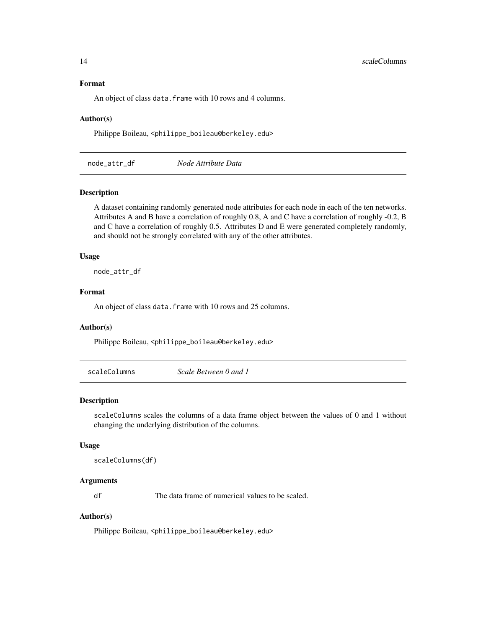# <span id="page-13-0"></span>Format

An object of class data. frame with 10 rows and 4 columns.

#### Author(s)

Philippe Boileau, <philippe\_boileau@berkeley.edu>

node\_attr\_df *Node Attribute Data*

# Description

A dataset containing randomly generated node attributes for each node in each of the ten networks. Attributes A and B have a correlation of roughly 0.8, A and C have a correlation of roughly -0.2, B and C have a correlation of roughly 0.5. Attributes D and E were generated completely randomly, and should not be strongly correlated with any of the other attributes.

#### Usage

node\_attr\_df

### Format

An object of class data. frame with 10 rows and 25 columns.

# Author(s)

Philippe Boileau, <philippe\_boileau@berkeley.edu>

scaleColumns *Scale Between 0 and 1*

#### Description

scaleColumns scales the columns of a data frame object between the values of 0 and 1 without changing the underlying distribution of the columns.

#### Usage

```
scaleColumns(df)
```
### Arguments

df The data frame of numerical values to be scaled.

# Author(s)